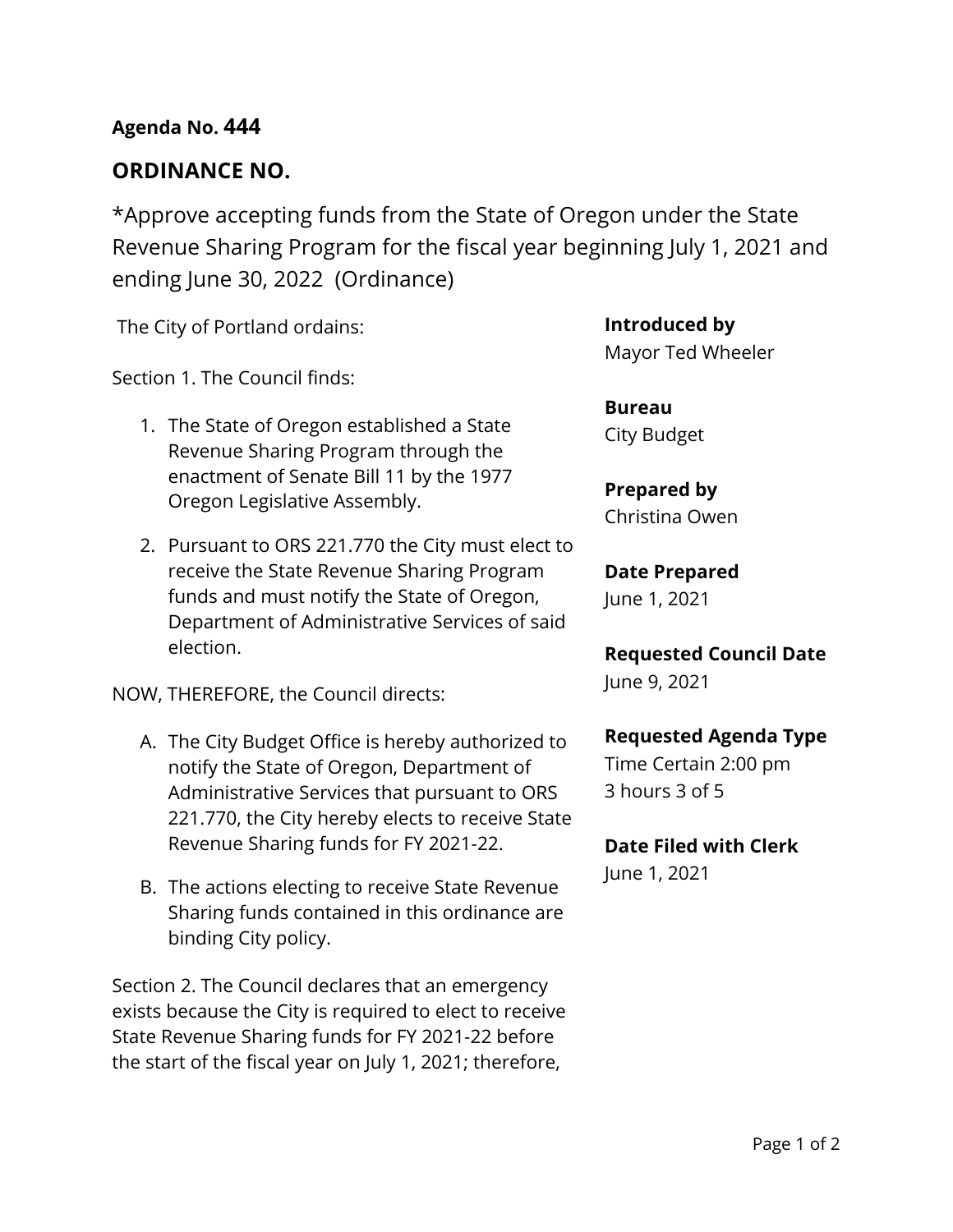## **Agenda No. 444**

# **ORDINANCE NO.**

\*Approve accepting funds from the State of Oregon under the State Revenue Sharing Program for the fiscal year beginning July 1, 2021 and ending June 30, 2022 (Ordinance)

The City of Portland ordains:

Section 1. The Council finds:

- 1. The State of Oregon established a State Revenue Sharing Program through the enactment of Senate Bill 11 by the 1977 Oregon Legislative Assembly.
- 2. Pursuant to ORS 221.770 the City must elect to receive the State Revenue Sharing Program funds and must notify the State of Oregon, Department of Administrative Services of said election.

NOW, THEREFORE, the Council directs:

- A. The City Budget Office is hereby authorized to notify the State of Oregon, Department of Administrative Services that pursuant to ORS 221.770, the City hereby elects to receive State Revenue Sharing funds for FY 2021-22.
- B. The actions electing to receive State Revenue Sharing funds contained in this ordinance are binding City policy.

Section 2. The Council declares that an emergency exists because the City is required to elect to receive State Revenue Sharing funds for FY 2021-22 before the start of the fiscal year on July 1, 2021; therefore,

**Introduced by** Mayor Ted Wheeler

**Bureau** City Budget

**Prepared by** Christina Owen

# **Date Prepared**

June 1, 2021

**Requested Council Date** June 9, 2021

## **Requested Agenda Type**

Time Certain 2:00 pm 3 hours 3 of 5

## **Date Filed with Clerk**

June 1, 2021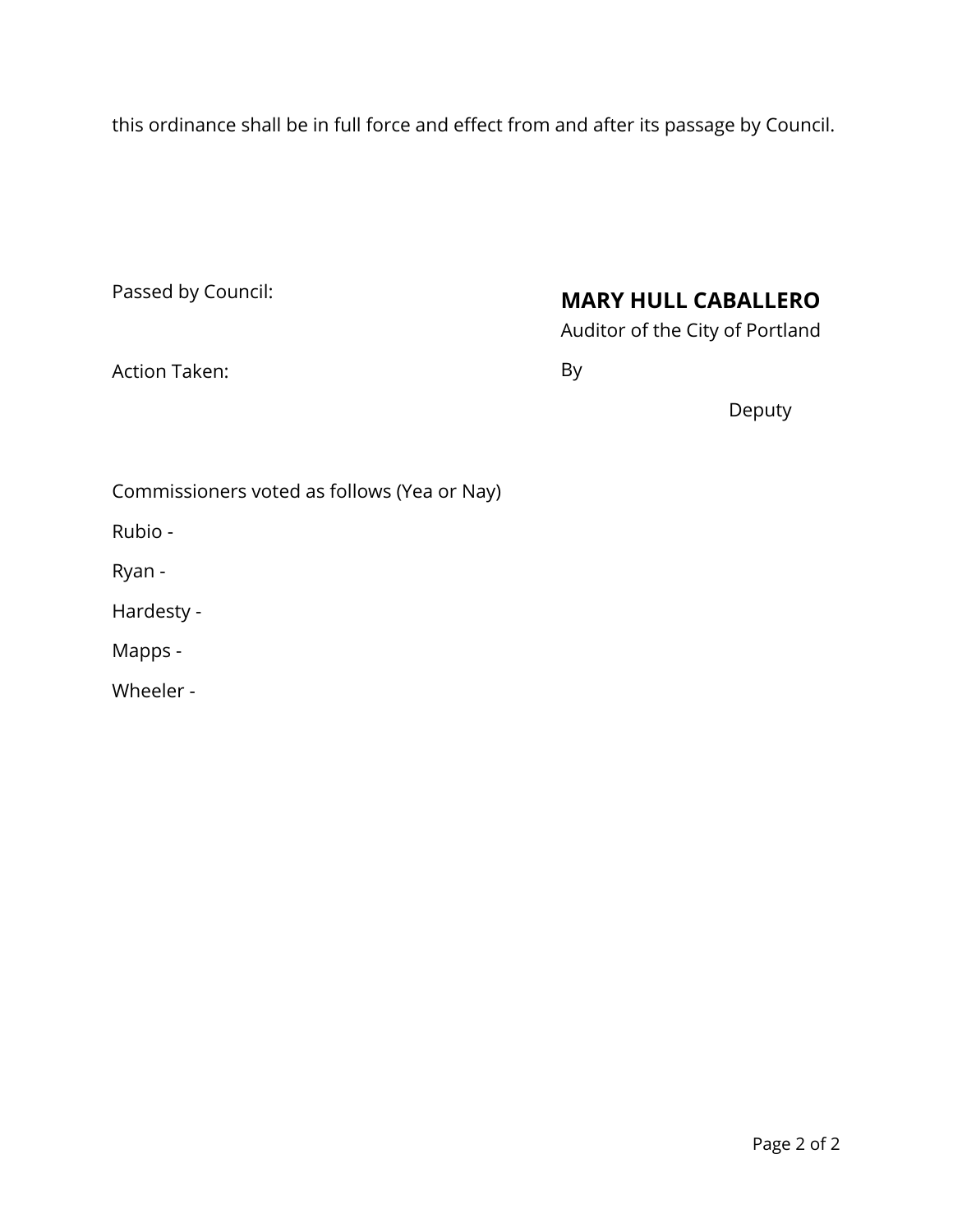this ordinance shall be in full force and effect from and after its passage by Council.

| Passed by Council: |  |
|--------------------|--|
|--------------------|--|

# **MARY HULL CABALLERO**

Auditor of the City of Portland

Action Taken:

By

Deputy

Commissioners voted as follows (Yea or Nay)

Rubio -

Ryan -

Hardesty -

Mapps -

Wheeler -